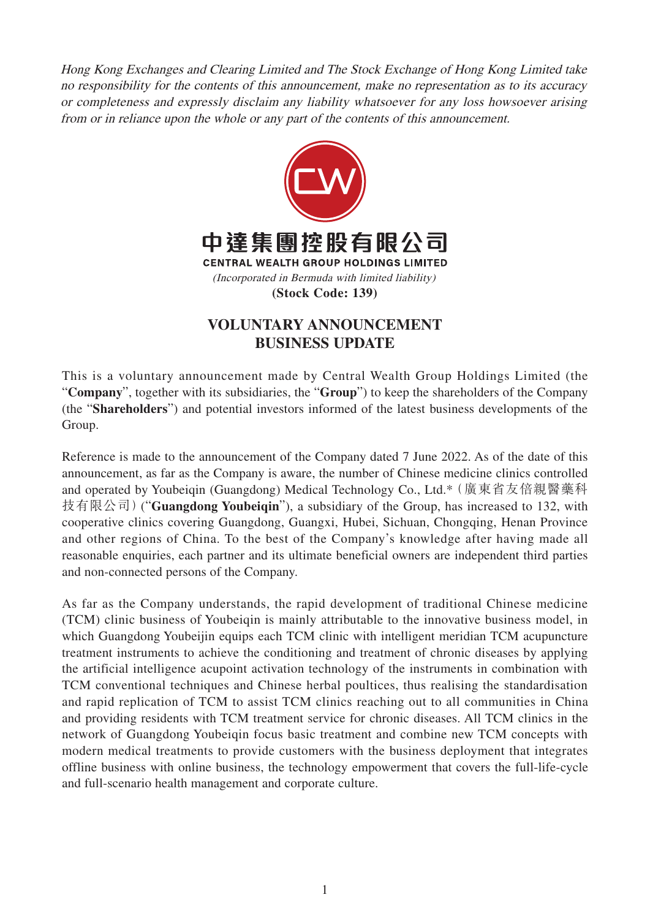Hong Kong Exchanges and Clearing Limited and The Stock Exchange of Hong Kong Limited take no responsibility for the contents of this announcement, make no representation as to its accuracy or completeness and expressly disclaim any liability whatsoever for any loss howsoever arising from or in reliance upon the whole or any part of the contents of this announcement.



## **VOLUNTARY ANNOUNCEMENT BUSINESS UPDATE**

This is a voluntary announcement made by Central Wealth Group Holdings Limited (the "**Company**", together with its subsidiaries, the "**Group**") to keep the shareholders of the Company (the "**Shareholders**") and potential investors informed of the latest business developments of the Group.

Reference is made to the announcement of the Company dated 7 June 2022. As of the date of this announcement, as far as the Company is aware, the number of Chinese medicine clinics controlled and operated by Youbeiqin (Guangdong) Medical Technology Co., Ltd.\*(廣東省友倍親醫藥科 技有限公司)("**Guangdong Youbeiqin**"), a subsidiary of the Group, has increased to 132, with cooperative clinics covering Guangdong, Guangxi, Hubei, Sichuan, Chongqing, Henan Province and other regions of China. To the best of the Company's knowledge after having made all reasonable enquiries, each partner and its ultimate beneficial owners are independent third parties and non-connected persons of the Company.

As far as the Company understands, the rapid development of traditional Chinese medicine (TCM) clinic business of Youbeiqin is mainly attributable to the innovative business model, in which Guangdong Youbeijin equips each TCM clinic with intelligent meridian TCM acupuncture treatment instruments to achieve the conditioning and treatment of chronic diseases by applying the artificial intelligence acupoint activation technology of the instruments in combination with TCM conventional techniques and Chinese herbal poultices, thus realising the standardisation and rapid replication of TCM to assist TCM clinics reaching out to all communities in China and providing residents with TCM treatment service for chronic diseases. All TCM clinics in the network of Guangdong Youbeiqin focus basic treatment and combine new TCM concepts with modern medical treatments to provide customers with the business deployment that integrates offline business with online business, the technology empowerment that covers the full-life-cycle and full-scenario health management and corporate culture.